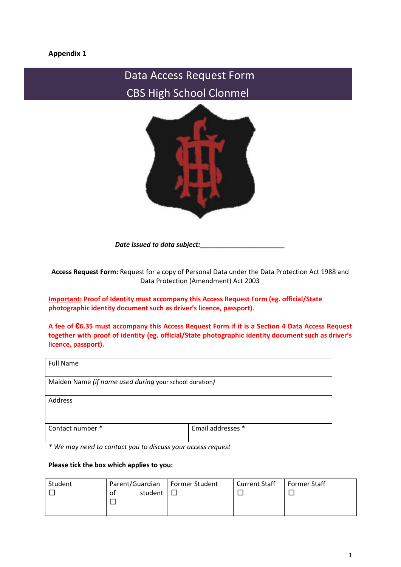# **Appendix 1**

# Data Access Request Form CBS High School Clonmel



*Date issued to data subject:\_\_\_\_\_\_\_\_\_\_\_\_\_\_\_\_\_\_\_\_\_\_\_*

**Access Request Form:** Request for a copy of Personal Data under the Data Protection Act 1988 and Data Protection (Amendment) Act 2003

**Important: Proof of Identity must accompany this Access Request Form (eg. official/State photographic identity document such as driver's licence, passport).**

A fee of €6.35 must accompany this Access Request Form if it is a Section 4 Data Access Request **together with proof of identity (eg. official/State photographic identity document such as driver's licence, passport).**

| <b>Full Name</b>                                       |                   |  |  |  |  |
|--------------------------------------------------------|-------------------|--|--|--|--|
| Maiden Name (if name used during your school duration) |                   |  |  |  |  |
| Address                                                |                   |  |  |  |  |
| Contact number *                                       | Email addresses * |  |  |  |  |

*\* We may need to contact you to discuss your access request*

#### **Please tick the box which applies to you:**

| Student | Parent/Guardian | Former Student | <b>Current Staff</b> | Former Staff |
|---------|-----------------|----------------|----------------------|--------------|
|         | student<br>οt   |                |                      |              |
|         |                 |                |                      |              |
|         |                 |                |                      |              |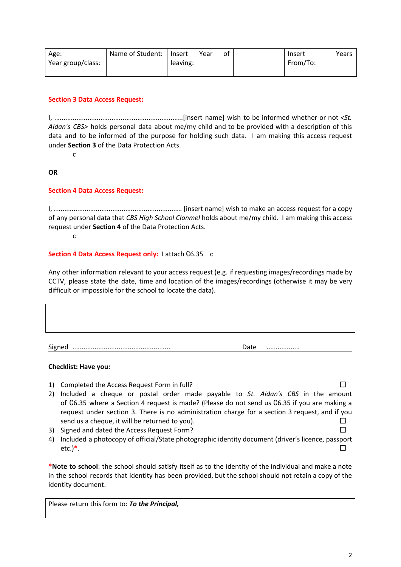| Age:              | Name of Student:   Insert |          | Year | of | Insert   | Years |
|-------------------|---------------------------|----------|------|----|----------|-------|
| Year group/class: |                           | leaving: |      |    | From/To: |       |
|                   |                           |          |      |    |          |       |

# **Section 3 Data Access Request:**

I, …………………………………………………..[insert name] wish to be informed whether or not *<St. Aidan's CBS>* holds personal data about me/my child and to be provided with a description of this data and to be informed of the purpose for holding such data. I am making this access request under **Section 3** of the Data Protection Acts.

c

# **OR**

# **Section 4 Data Access Request:**

I, ………………………………………………….. [insert name] wish to make an access request for a copy of any personal data that *CBS High School Clonmel* holds about me/my child. I am making this access request under **Section 4** of the Data Protection Acts.

c

#### **Section 4 Data Access Request only:** I attach €6.35 c

Any other information relevant to your access request (e.g. if requesting images/recordings made by CCTV, please state the date, time and location of the images/recordings (otherwise it may be very difficult or impossible for the school to locate the data).

Signed ……………………………………… Date ……………

#### **Checklist: Have you:**

- 1) Completed the Access Request Form in full?  $\square$ 2) Included a cheque or postal order made payable to *St. Aidan's CBS* in the amount of €6.35 where a Section 4 request is made? (Please do not send us €6.35 if you are making a request under section 3. There is no administration charge for a section 3 request, and if you send us a cheque, it will be returned to you).  $\Box$
- 3) Signed and dated the Access Request Form? □
- 4) Included a photocopy of official/State photographic identity document (driver's licence, passport etc.) $^*$ .  $\Box$

**\*Note to school**: the school should satisfy itself as to the identity of the individual and make a note in the school records that identity has been provided, but the school should not retain a copy of the identity document.